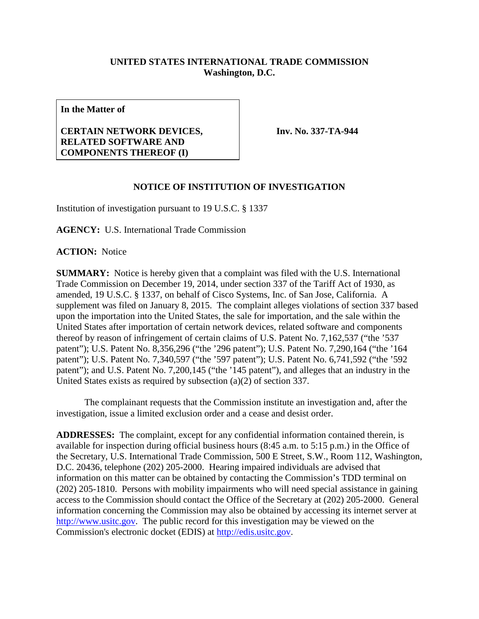## **UNITED STATES INTERNATIONAL TRADE COMMISSION Washington, D.C.**

**In the Matter of**

## **CERTAIN NETWORK DEVICES, RELATED SOFTWARE AND COMPONENTS THEREOF (I)**

**Inv. No. 337-TA-944**

## **NOTICE OF INSTITUTION OF INVESTIGATION**

Institution of investigation pursuant to 19 U.S.C. § 1337

**AGENCY:** U.S. International Trade Commission

**ACTION:** Notice

**SUMMARY:** Notice is hereby given that a complaint was filed with the U.S. International Trade Commission on December 19, 2014, under section 337 of the Tariff Act of 1930, as amended, 19 U.S.C. § 1337, on behalf of Cisco Systems, Inc. of San Jose, California. A supplement was filed on January 8, 2015. The complaint alleges violations of section 337 based upon the importation into the United States, the sale for importation, and the sale within the United States after importation of certain network devices, related software and components thereof by reason of infringement of certain claims of U.S. Patent No. 7,162,537 ("the '537 patent"); U.S. Patent No. 8,356,296 ("the '296 patent"); U.S. Patent No. 7,290,164 ("the '164 patent"); U.S. Patent No. 7,340,597 ("the '597 patent"); U.S. Patent No. 6,741,592 ("the '592 patent"); and U.S. Patent No. 7,200,145 ("the '145 patent"), and alleges that an industry in the United States exists as required by subsection (a)(2) of section 337.

The complainant requests that the Commission institute an investigation and, after the investigation, issue a limited exclusion order and a cease and desist order.

**ADDRESSES:** The complaint, except for any confidential information contained therein, is available for inspection during official business hours (8:45 a.m. to 5:15 p.m.) in the Office of the Secretary, U.S. International Trade Commission, 500 E Street, S.W., Room 112, Washington, D.C. 20436, telephone (202) 205-2000. Hearing impaired individuals are advised that information on this matter can be obtained by contacting the Commission's TDD terminal on (202) 205-1810. Persons with mobility impairments who will need special assistance in gaining access to the Commission should contact the Office of the Secretary at (202) 205-2000. General information concerning the Commission may also be obtained by accessing its internet server at [http://www.usitc.gov.](http://www.usitc.gov/) The public record for this investigation may be viewed on the Commission's electronic docket (EDIS) at [http://edis.usitc.gov.](http://edis.usitc.gov/)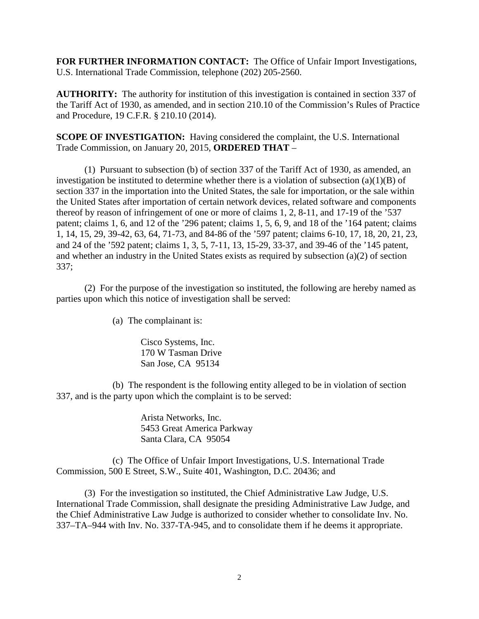**FOR FURTHER INFORMATION CONTACT:** The Office of Unfair Import Investigations, U.S. International Trade Commission, telephone (202) 205-2560.

**AUTHORITY:** The authority for institution of this investigation is contained in section 337 of the Tariff Act of 1930, as amended, and in section 210.10 of the Commission's Rules of Practice and Procedure, 19 C.F.R. § 210.10 (2014).

**SCOPE OF INVESTIGATION:** Having considered the complaint, the U.S. International Trade Commission, on January 20, 2015, **ORDERED THAT** –

(1) Pursuant to subsection (b) of section 337 of the Tariff Act of 1930, as amended, an investigation be instituted to determine whether there is a violation of subsection  $(a)(1)(B)$  of section 337 in the importation into the United States, the sale for importation, or the sale within the United States after importation of certain network devices, related software and components thereof by reason of infringement of one or more of claims 1, 2, 8-11, and 17-19 of the '537 patent; claims 1, 6, and 12 of the '296 patent; claims 1, 5, 6, 9, and 18 of the '164 patent; claims 1, 14, 15, 29, 39-42, 63, 64, 71-73, and 84-86 of the '597 patent; claims 6-10, 17, 18, 20, 21, 23, and 24 of the '592 patent; claims 1, 3, 5, 7-11, 13, 15-29, 33-37, and 39-46 of the '145 patent, and whether an industry in the United States exists as required by subsection (a)(2) of section 337;

(2) For the purpose of the investigation so instituted, the following are hereby named as parties upon which this notice of investigation shall be served:

(a) The complainant is:

Cisco Systems, Inc. 170 W Tasman Drive San Jose, CA 95134

(b) The respondent is the following entity alleged to be in violation of section 337, and is the party upon which the complaint is to be served:

> Arista Networks, Inc. 5453 Great America Parkway Santa Clara, CA 95054

(c) The Office of Unfair Import Investigations, U.S. International Trade Commission, 500 E Street, S.W., Suite 401, Washington, D.C. 20436; and

(3) For the investigation so instituted, the Chief Administrative Law Judge, U.S. International Trade Commission, shall designate the presiding Administrative Law Judge, and the Chief Administrative Law Judge is authorized to consider whether to consolidate Inv. No. 337–TA–944 with Inv. No. 337-TA-945, and to consolidate them if he deems it appropriate.